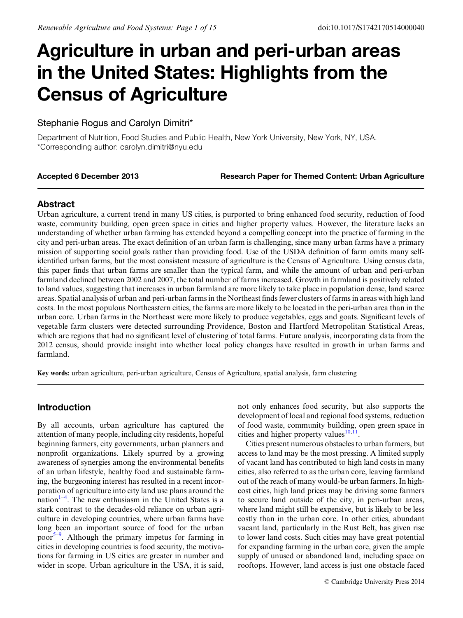# Agriculture in urban and peri-urban areas in the United States: Highlights from the Census of Agriculture

# Stephanie Rogus and Carolyn Dimitri\*

Department of Nutrition, Food Studies and Public Health, New York University, New York, NY, USA. \*Corresponding author: carolyn.dimitri@nyu.edu

Accepted 6 December 2013 Research Paper for Themed Content: Urban Agriculture

# Abstract

Urban agriculture, a current trend in many US cities, is purported to bring enhanced food security, reduction of food waste, community building, open green space in cities and higher property values. However, the literature lacks an understanding of whether urban farming has extended beyond a compelling concept into the practice of farming in the city and peri-urban areas. The exact definition of an urban farm is challenging, since many urban farms have a primary mission of supporting social goals rather than providing food. Use of the USDA definition of farm omits many selfidentified urban farms, but the most consistent measure of agriculture is the Census of Agriculture. Using census data, this paper finds that urban farms are smaller than the typical farm, and while the amount of urban and peri-urban farmland declined between 2002 and 2007, the total number of farms increased. Growth in farmland is positively related to land values, suggesting that increases in urban farmland are more likely to take place in population dense, land scarce areas. Spatial analysis of urban and peri-urban farms in the Northeast finds fewer clusters of farms in areas with high land costs. In the most populous Northeastern cities, the farms are more likely to be located in the peri-urban area than in the urban core. Urban farms in the Northeast were more likely to produce vegetables, eggs and goats. Significant levels of vegetable farm clusters were detected surrounding Providence, Boston and Hartford Metropolitan Statistical Areas, which are regions that had no significant level of clustering of total farms. Future analysis, incorporating data from the 2012 census, should provide insight into whether local policy changes have resulted in growth in urban farms and farmland.

Key words: urban agriculture, peri-urban agriculture, Census of Agriculture, spatial analysis, farm clustering

# Introduction

By all accounts, urban agriculture has captured the attention of many people, including city residents, hopeful beginning farmers, city governments, urban planners and nonprofit organizations. Likely spurred by a growing awareness of synergies among the environmental benefits of an urban lifestyle, healthy food and sustainable farming, the burgeoning interest has resulted in a recent incorporation of agriculture into city land use plans around the nation<sup>1-[4](#page-14-0)</sup>. The new enthusiasm in the United States is a stark contrast to the decades-old reliance on urban agriculture in developing countries, where urban farms have long been an important source of food for the urban poor<sup>[5](#page-14-0)-[9](#page-14-0)</sup>. Although the primary impetus for farming in cities in developing countries is food security, the motivations for farming in US cities are greater in number and wider in scope. Urban agriculture in the USA, it is said,

not only enhances food security, but also supports the development of local and regional food systems, reduction of food waste, community building, open green space in cities and higher property values $10,11$ .

Cities present numerous obstacles to urban farmers, but access to land may be the most pressing. A limited supply of vacant land has contributed to high land costs in many cities, also referred to as the urban core, leaving farmland out of the reach of many would-be urban farmers. In highcost cities, high land prices may be driving some farmers to secure land outside of the city, in peri-urban areas, where land might still be expensive, but is likely to be less costly than in the urban core. In other cities, abundant vacant land, particularly in the Rust Belt, has given rise to lower land costs. Such cities may have great potential for expanding farming in the urban core, given the ample supply of unused or abandoned land, including space on rooftops. However, land access is just one obstacle faced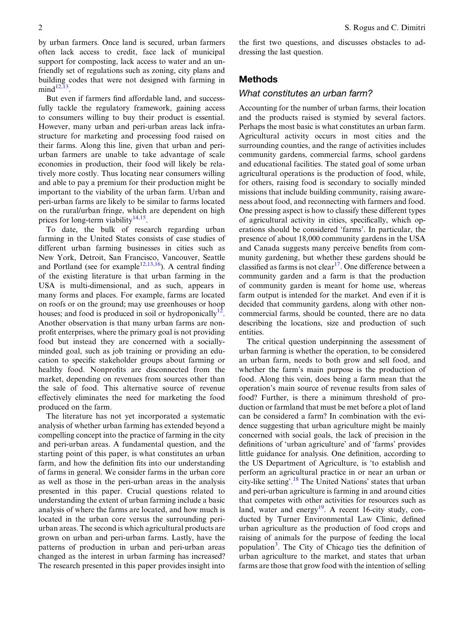by urban farmers. Once land is secured, urban farmers often lack access to credit, face lack of municipal support for composting, lack access to water and an unfriendly set of regulations such as zoning, city plans and building codes that were not designed with farming in  $mind<sup>12,13</sup>$  $mind<sup>12,13</sup>$  $mind<sup>12,13</sup>$ .

But even if farmers find affordable land, and successfully tackle the regulatory framework, gaining access to consumers willing to buy their product is essential. However, many urban and peri-urban areas lack infrastructure for marketing and processing food raised on their farms. Along this line, given that urban and periurban farmers are unable to take advantage of scale economies in production, their food will likely be relatively more costly. Thus locating near consumers willing and able to pay a premium for their production might be important to the viability of the urban farm. Urban and peri-urban farms are likely to be similar to farms located on the rural/urban fringe, which are dependent on high prices for long-term viability $14,15$ .

To date, the bulk of research regarding urban farming in the United States consists of case studies of different urban farming businesses in cities such as New York, Detroit, San Francisco, Vancouver, Seattle and Portland (see for example $12,13,16$ ). A central finding of the existing literature is that urban farming in the USA is multi-dimensional, and as such, appears in many forms and places. For example, farms are located on roofs or on the ground; may use greenhouses or hoop houses; and food is produced in soil or hydroponically $12$ . Another observation is that many urban farms are nonprofit enterprises, where the primary goal is not providing food but instead they are concerned with a sociallyminded goal, such as job training or providing an education to specific stakeholder groups about farming or healthy food. Nonprofits are disconnected from the market, depending on revenues from sources other than the sale of food. This alternative source of revenue effectively eliminates the need for marketing the food produced on the farm.

The literature has not yet incorporated a systematic analysis of whether urban farming has extended beyond a compelling concept into the practice of farming in the city and peri-urban areas. A fundamental question, and the starting point of this paper, is what constitutes an urban farm, and how the definition fits into our understanding of farms in general. We consider farms in the urban core as well as those in the peri-urban areas in the analysis presented in this paper. Crucial questions related to understanding the extent of urban farming include a basic analysis of where the farms are located, and how much is located in the urban core versus the surrounding periurban areas. The second is which agricultural products are grown on urban and peri-urban farms. Lastly, have the patterns of production in urban and peri-urban areas changed as the interest in urban farming has increased? The research presented in this paper provides insight into the first two questions, and discusses obstacles to addressing the last question.

# Methods

### What constitutes an urban farm?

Accounting for the number of urban farms, their location and the products raised is stymied by several factors. Perhaps the most basic is what constitutes an urban farm. Agricultural activity occurs in most cities and the surrounding counties, and the range of activities includes community gardens, commercial farms, school gardens and educational facilities. The stated goal of some urban agricultural operations is the production of food, while, for others, raising food is secondary to socially minded missions that include building community, raising awareness about food, and reconnecting with farmers and food. One pressing aspect is how to classify these different types of agricultural activity in cities, specifically, which operations should be considered 'farms'. In particular, the presence of about 18,000 community gardens in the USA and Canada suggests many perceive benefits from community gardening, but whether these gardens should be classified as farms is not clear<sup>[17](#page-14-0)</sup>. One difference between a community garden and a farm is that the production of community garden is meant for home use, whereas farm output is intended for the market. And even if it is decided that community gardens, along with other noncommercial farms, should be counted, there are no data describing the locations, size and production of such entities.

The critical question underpinning the assessment of urban farming is whether the operation, to be considered an urban farm, needs to both grow and sell food, and whether the farm's main purpose is the production of food. Along this vein, does being a farm mean that the operation's main source of revenue results from sales of food? Further, is there a minimum threshold of production or farmland that must be met before a plot of land can be considered a farm? In combination with the evidence suggesting that urban agriculture might be mainly concerned with social goals, the lack of precision in the definitions of 'urban agriculture' and of 'farms' provides little guidance for analysis. One definition, according to the US Department of Agriculture, is 'to establish and perform an agricultural practice in or near an urban or city-like setting'.<sup>[18](#page-14-0)</sup> The United Nations' states that urban and peri-urban agriculture is farming in and around cities that competes with other activities for resources such as land, water and energy $^{19}$ . A recent 16-city study, conducted by Turner Environmental Law Clinic, defined urban agriculture as the production of food crops and raising of animals for the purpose of feeding the local population<sup>[3](#page-13-0)</sup>. The City of Chicago ties the definition of urban agriculture to the market, and states that urban farms are those that grow food with the intention of selling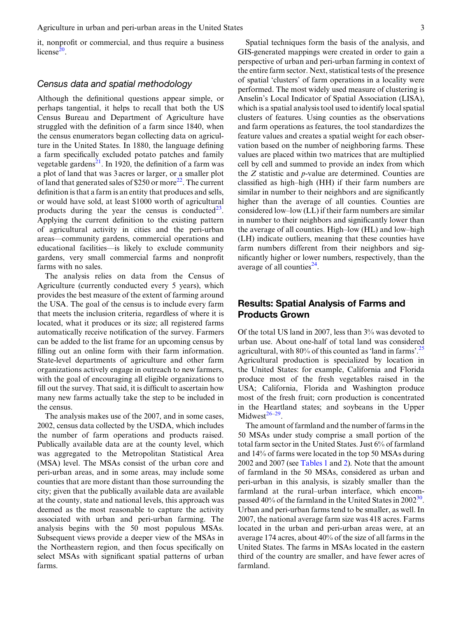it, nonprofit or commercial, and thus require a business license $20$ .

# Census data and spatial methodology

Although the definitional questions appear simple, or perhaps tangential, it helps to recall that both the US Census Bureau and Department of Agriculture have struggled with the definition of a farm since 1840, when the census enumerators began collecting data on agriculture in the United States. In 1880, the language defining a farm specifically excluded potato patches and family vegetable gardens $^{21}$  $^{21}$  $^{21}$ . In 1920, the definition of a farm was a plot of land that was 3 acres or larger, or a smaller plot of land that generated sales of \$250 or more<sup>22</sup>. The current definition is that a farm is an entity that produces and sells, or would have sold, at least \$1000 worth of agricultural products during the year the census is conducted $^{23}$  $^{23}$  $^{23}$ . Applying the current definition to the existing pattern of agricultural activity in cities and the peri-urban areas—community gardens, commercial operations and educational facilities—is likely to exclude community gardens, very small commercial farms and nonprofit farms with no sales.

The analysis relies on data from the Census of Agriculture (currently conducted every 5 years), which provides the best measure of the extent of farming around the USA. The goal of the census is to include every farm that meets the inclusion criteria, regardless of where it is located, what it produces or its size; all registered farms automatically receive notification of the survey. Farmers can be added to the list frame for an upcoming census by filling out an online form with their farm information. State-level departments of agriculture and other farm organizations actively engage in outreach to new farmers, with the goal of encouraging all eligible organizations to fill out the survey. That said, it is difficult to ascertain how many new farms actually take the step to be included in the census.

The analysis makes use of the 2007, and in some cases, 2002, census data collected by the USDA, which includes the number of farm operations and products raised. Publically available data are at the county level, which was aggregated to the Metropolitan Statistical Area (MSA) level. The MSAs consist of the urban core and peri-urban areas, and in some areas, may include some counties that are more distant than those surrounding the city; given that the publically available data are available at the county, state and national levels, this approach was deemed as the most reasonable to capture the activity associated with urban and peri-urban farming. The analysis begins with the 50 most populous MSAs. Subsequent views provide a deeper view of the MSAs in the Northeastern region, and then focus specifically on select MSAs with significant spatial patterns of urban farms.

Spatial techniques form the basis of the analysis, and GIS-generated mappings were created in order to gain a perspective of urban and peri-urban farming in context of the entire farm sector. Next, statistical tests of the presence of spatial 'clusters' of farm operations in a locality were performed. The most widely used measure of clustering is Anselin's Local Indicator of Spatial Association (LISA), which is a spatial analysis tool used to identify local spatial clusters of features. Using counties as the observations and farm operations as features, the tool standardizes the feature values and creates a spatial weight for each observation based on the number of neighboring farms. These values are placed within two matrices that are multiplied cell by cell and summed to provide an index from which the Z statistic and p-value are determined. Counties are classified as high–high (HH) if their farm numbers are similar in number to their neighbors and are significantly higher than the average of all counties. Counties are considered low–low (LL) if their farm numbers are similar in number to their neighbors and significantly lower than the average of all counties. High–low (HL) and low–high (LH) indicate outliers, meaning that these counties have farm numbers different from their neighbors and significantly higher or lower numbers, respectively, than the average of all counties $^{24}$ .

# Results: Spatial Analysis of Farms and Products Grown

Of the total US land in 2007, less than 3% was devoted to urban use. About one-half of total land was considered agricultural, with 80% of this counted as 'land in farms'.<sup>[25](#page-14-0)</sup> Agricultural production is specialized by location in the United States: for example, California and Florida produce most of the fresh vegetables raised in the USA; California, Florida and Washington produce most of the fresh fruit; corn production is concentrated in the Heartland states; and soybeans in the Upper Midwest $26-29$  $26-29$  $26-29$ .

The amount of farmland and the number of farms in the 50 MSAs under study comprise a small portion of the total farm sector in the United States. Just 6% of farmland and 14% of farms were located in the top 50 MSAs during 2002 and 2007 (see [Tables 1](#page-3-0) and [2](#page-4-0)). Note that the amount of farmland in the 50 MSAs, considered as urban and peri-urban in this analysis, is sizably smaller than the farmland at the rural–urban interface, which encom-passed 40% of the farmland in the United States in 2002<sup>[30](#page-14-0)</sup>. Urban and peri-urban farms tend to be smaller, as well. In 2007, the national average farm size was 418 acres. Farms located in the urban and peri-urban areas were, at an average 174 acres, about 40% of the size of all farms in the United States. The farms in MSAs located in the eastern third of the country are smaller, and have fewer acres of farmland.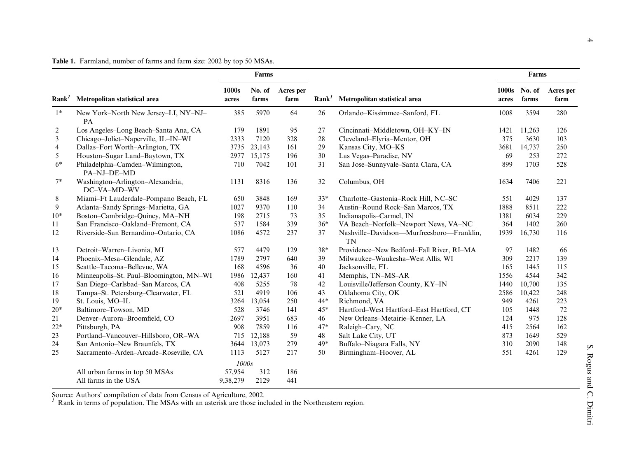|                   |                                                   | Farms          |                 |                   |                   |                                                        | Farms          |                 |                   |
|-------------------|---------------------------------------------------|----------------|-----------------|-------------------|-------------------|--------------------------------------------------------|----------------|-----------------|-------------------|
| Rank <sup>I</sup> | Metropolitan statistical area                     | 1000s<br>acres | No. of<br>farms | Acres per<br>farm | Rank <sup>I</sup> | Metropolitan statistical area                          | 1000s<br>acres | No. of<br>farms | Acres per<br>farm |
| $1*$              | New York-North New Jersey-LI, NY-NJ-<br><b>PA</b> | 385            | 5970            | 64                | 26                | Orlando-Kissimmee-Sanford, FL                          | 1008           | 3594            | 280               |
| $\overline{c}$    | Los Angeles-Long Beach-Santa Ana, CA              | 179            | 1891            | 95                | 27                | Cincinnati-Middletown, OH-KY-IN                        | 1421           | 11,263          | 126               |
| $\mathfrak{Z}$    | Chicago-Joliet-Naperville, IL-IN-WI               | 2333           | 7120            | 328               | $28\,$            | Cleveland-Elyria-Mentor, OH                            | 375            | 3630            | 103               |
| 4                 | Dallas-Fort Worth-Arlington, TX                   | 3735           | 23,143          | 161               | 29                | Kansas City, MO-KS                                     | 3681           | 14,737          | 250               |
| 5                 | Houston-Sugar Land-Baytown, TX                    | 2977           | 15,175          | 196               | 30                | Las Vegas-Paradise, NV                                 | 69             | 253             | 272               |
| $6*$              | Philadelphia-Camden-Wilmington,<br>PA-NJ-DE-MD    | 710            | 7042            | 101               | 31                | San Jose-Sunnyvale-Santa Clara, CA                     | 899            | 1703            | 528               |
| $7*$              | Washington-Arlington-Alexandria,<br>DC-VA-MD-WV   | 1131           | 8316            | 136               | 32                | Columbus, OH                                           | 1634           | 7406            | 221               |
| 8                 | Miami-Ft Lauderdale-Pompano Beach, FL             | 650            | 3848            | 169               | $33*$             | Charlotte-Gastonia-Rock Hill, NC-SC                    | 551            | 4029            | 137               |
| 9                 | Atlanta-Sandy Springs-Marietta, GA                | 1027           | 9370            | 110               | 34                | Austin-Round Rock-San Marcos, TX                       | 1888           | 8511            | 222               |
| $10*$             | Boston-Cambridge-Quincy, MA-NH                    | 198            | 2715            | 73                | 35                | Indianapolis-Carmel, IN                                |                | 6034            | 229               |
| 11                | San Francisco-Oakland-Fremont, CA                 | 537            | 1584            | 339               | $36*$             | VA Beach-Norfolk-Newport News, VA-NC                   |                | 1402            | 260               |
| 12                | Riverside-San Bernardino-Ontario, CA              | 1086           | 4572            | 237               | 37                | Nashville-Davidson-Murfreesboro-Franklin,<br><b>TN</b> | 1939           | 16,730          | 116               |
| 13                | Detroit-Warren-Livonia, MI                        | 577            | 4479            | 129               | $38*$             | Providence-New Bedford-Fall River, RI-MA               | 97             | 1482            | 66                |
| 14                | Phoenix-Mesa-Glendale, AZ                         | 1789           | 2797            | 640               | 39                | Milwaukee-Waukesha-West Allis, WI                      | 309            | 2217            | 139               |
| 15                | Seattle-Tacoma-Bellevue, WA                       | 168            | 4596            | 36                | 40                | Jacksonville, FL                                       | 165            | 1445            | 115               |
| 16                | Minneapolis-St. Paul-Bloomington, MN-WI           | 1986           | 12,437          | 160               | 41                | Memphis, TN-MS-AR                                      | 1556           | 4544            | 342               |
| 17                | San Diego-Carlsbad-San Marcos, CA                 | 408            | 5255            | 78                | $42\,$            | Louisville/Jefferson County, KY-IN                     | 1440           | 10.700          | 135               |
| 18                | Tampa-St. Petersburg-Clearwater, FL               | 521            | 4919            | 106               | 43                | Oklahoma City, OK                                      | 2586           | 10,422          | 248               |
| 19                | St. Louis, MO-IL                                  | 3264           | 13,054          | 250               | 44*               | Richmond, VA                                           | 949            | 4261            | 223               |
| $20*$             | Baltimore-Towson, MD                              | 528            | 3746            | 141               | $45*$             | Hartford-West Hartford-East Hartford, CT               | 105            | 1448            | 72                |
| 21                | Denver-Aurora-Broomfield, CO                      | 2697           | 3951            | 683               | 46                | New Orleans-Metairie-Kenner, LA                        | 124            | 975             | 128               |
| $22*$             | Pittsburgh, PA                                    | 908            | 7859            | 116               | $47*$             | Raleigh-Cary, NC                                       | 415            | 2564            | 162               |
| 23                | Portland-Vancouver-Hillsboro, OR-WA               | 715            | 12,188          | 59                | 48                | Salt Lake City, UT                                     | 873            | 1649            | 529               |
| 24                | San Antonio-New Braunfels, TX                     | 3644           | 13,073          | 279               | 49*               | Buffalo-Niagara Falls, NY                              | 310            | 2090            | 148               |
| 25                | Sacramento-Arden-Arcade-Roseville, CA             | 1113           | 5127            | 217               | 50                | Birmingham-Hoover, AL                                  | 551            | 4261            | 129               |
|                   |                                                   | 1000s          |                 |                   |                   |                                                        |                |                 |                   |
|                   | All urban farms in top 50 MSAs                    | 57,954         | 312             | 186               |                   |                                                        |                |                 |                   |
|                   | All farms in the USA                              | 9,38,279       | 2129            | 441               |                   |                                                        |                |                 |                   |

#### <span id="page-3-0"></span>Table 1. Farmland, number of farms and farm size: 2002 by top 50 MSAs.

Source: Authors' compilation of data from Census of Agriculture, 2002.<br><sup>1</sup> Rank in terms of population. The MSAs with an asterisk are those included in the Northeastern region.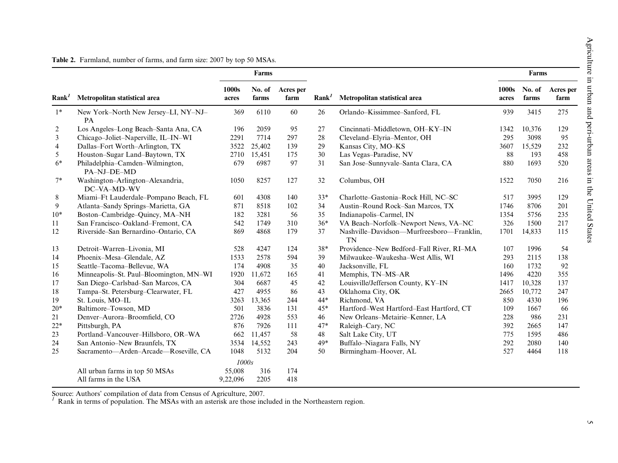|                   | Metropolitan statistical area                   | Farms                                                  |        |                   |                               |                                                        | Farms           |                   |     |
|-------------------|-------------------------------------------------|--------------------------------------------------------|--------|-------------------|-------------------------------|--------------------------------------------------------|-----------------|-------------------|-----|
| Rank <sup>I</sup> |                                                 | 1000s<br>No. of<br>Acres per<br>farms<br>farm<br>acres |        | Rank <sup>I</sup> | Metropolitan statistical area | 1000s<br>acres                                         | No. of<br>farms | Acres per<br>farm |     |
| $1*$              | New York-North New Jersey-LI, NY-NJ-<br>PA      | 369                                                    | 6110   | 60                | 26                            | Orlando-Kissimmee-Sanford, FL                          | 939             | 3415              | 275 |
| $\overline{c}$    | Los Angeles-Long Beach-Santa Ana, CA            | 196                                                    | 2059   | 95                | 27                            | Cincinnati-Middletown, OH-KY-IN                        | 1342            | 10.376            | 129 |
| 3                 | Chicago-Joliet-Naperville, IL-IN-WI             | 2291                                                   | 7714   | 297               | 28                            | Cleveland-Elyria-Mentor, OH                            | 295             | 3098              | 95  |
| 4                 | Dallas-Fort Worth-Arlington, TX                 | 3522                                                   | 25,402 | 139               | 29                            | Kansas City, MO-KS                                     | 3607            | 15,529            | 232 |
| 5                 | Houston-Sugar Land-Baytown, TX                  | 2710                                                   | 15,451 | 175               | 30                            | Las Vegas-Paradise, NV                                 | 88              | 193               | 458 |
| $6*$              | Philadelphia-Camden-Wilmington,<br>PA-NJ-DE-MD  | 679                                                    | 6987   | 97                | 31                            | San Jose-Sunnyvale-Santa Clara, CA                     | 880             | 1693              | 520 |
| $7*$              | Washington-Arlington-Alexandria,<br>DC-VA-MD-WV | 1050                                                   | 8257   | 127               | 32                            | Columbus, OH                                           | 1522            | 7050              | 216 |
| $8\,$             | Miami-Ft Lauderdale-Pompano Beach, FL           | 601                                                    | 4308   | 140               | $33*$                         | Charlotte-Gastonia-Rock Hill, NC-SC                    | 517             | 3995              | 129 |
| 9                 | Atlanta-Sandy Springs-Marietta, GA              | 871                                                    | 8518   | 102               | 34                            | Austin-Round Rock-San Marcos, TX                       | 1746            | 8706              | 201 |
| $10*$             | Boston-Cambridge-Quincy, MA-NH                  | 182                                                    | 3281   | 56                | 35                            | Indianapolis-Carmel, IN                                | 1354            | 5756              | 235 |
| 11                | San Francisco-Oakland-Fremont, CA               | 542                                                    | 1749   | 310               | $36*$                         | VA Beach-Norfolk-Newport News, VA-NC                   | 326             | 1500              | 217 |
| 12                | Riverside-San Bernardino-Ontario, CA            | 869                                                    | 4868   | 179               | 37                            | Nashville-Davidson-Murfreesboro-Franklin,<br><b>TN</b> | 1701            | 14,833            | 115 |
| 13                | Detroit-Warren-Livonia, MI                      | 528                                                    | 4247   | 124               | $38*$                         | Providence-New Bedford-Fall River, RI-MA               | 107             | 1996              | 54  |
| 14                | Phoenix-Mesa-Glendale, AZ                       | 1533                                                   | 2578   | 594               | 39                            | Milwaukee-Waukesha-West Allis, WI                      | 293             | 2115              | 138 |
| 15                | Seattle-Tacoma-Bellevue, WA                     | 174                                                    | 4908   | 35                | 40                            | Jacksonville, FL                                       | 160             | 1732              | 92  |
| 16                | Minneapolis-St. Paul-Bloomington, MN-WI         | 1920                                                   | 11,672 | 165               | 41                            | Memphis, TN-MS-AR                                      | 1496            | 4220              | 355 |
| 17                | San Diego-Carlsbad-San Marcos, CA               | 304                                                    | 6687   | 45                | 42                            | Louisville/Jefferson County, KY-IN                     | 1417            | 10,328            | 137 |
| 18                | Tampa-St. Petersburg-Clearwater, FL             | 427                                                    | 4955   | 86                | 43                            | Oklahoma City, OK                                      | 2665            | 10,772            | 247 |
| 19                | St. Louis, MO-IL                                | 3263                                                   | 13,365 | 244               | 44*                           | Richmond, VA                                           |                 | 4330              | 196 |
| $20*$             | Baltimore-Towson, MD                            | 501                                                    | 3836   | 131               | $45*$                         | Hartford-West Hartford-East Hartford, CT               | 109             | 1667              | 66  |
| 21                | Denver-Aurora-Broomfield, CO                    | 2726                                                   | 4928   | 553               | 46                            | New Orleans-Metairie-Kenner, LA                        | 228             | 986               | 231 |
| $22*$             | Pittsburgh, PA                                  | 876                                                    | 7926   | 111               | $47*$                         | Raleigh-Cary, NC                                       |                 | 2665              | 147 |
| 23                | Portland-Vancouver-Hillsboro, OR-WA             | 662                                                    | 11,457 | 58                | 48                            | Salt Lake City, UT                                     |                 | 1595              | 486 |
| 24                | San Antonio-New Braunfels, TX                   | 3534                                                   | 14,552 | 243               | 49*                           | Buffalo-Niagara Falls, NY                              | 292             | 2080              | 140 |
| 25                | Sacramento-Arden-Arcade-Roseville, CA           | 1048                                                   | 5132   | 204               | 50                            | Birmingham-Hoover, AL                                  | 527             | 4464              | 118 |
|                   |                                                 |                                                        | 1000s  |                   |                               |                                                        |                 |                   |     |
|                   | All urban farms in top 50 MSAs                  | 55,008                                                 | 316    | 174               |                               |                                                        |                 |                   |     |
|                   | All farms in the USA                            | 9,22,096                                               | 2205   | 418               |                               |                                                        |                 |                   |     |

#### <span id="page-4-0"></span>Table 2. Farmland, number of farms, and farm size: 2007 by top 50 MSAs.

Source: Authors' compilation of data from Census of Agriculture, 2007.<br><sup>1</sup> Rank in terms of population. The MSAs with an asterisk are those included in the Northeastern region.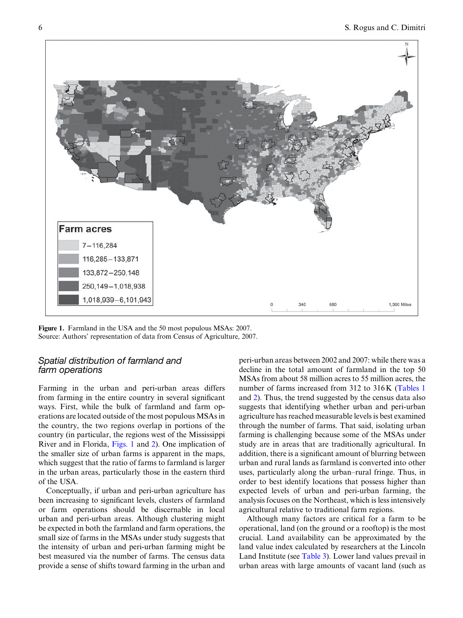

Figure 1. Farmland in the USA and the 50 most populous MSAs: 2007. Source: Authors' representation of data from Census of Agriculture, 2007.

# Spatial distribution of farmland and farm operations

Farming in the urban and peri-urban areas differs from farming in the entire country in several significant ways. First, while the bulk of farmland and farm operations are located outside of the most populous MSAs in the country, the two regions overlap in portions of the country (in particular, the regions west of the Mississippi River and in Florida, Figs. 1 and [2\)](#page-6-0). One implication of the smaller size of urban farms is apparent in the maps, which suggest that the ratio of farms to farmland is larger in the urban areas, particularly those in the eastern third of the USA.

Conceptually, if urban and peri-urban agriculture has been increasing to significant levels, clusters of farmland or farm operations should be discernable in local urban and peri-urban areas. Although clustering might be expected in both the farmland and farm operations, the small size of farms in the MSAs under study suggests that the intensity of urban and peri-urban farming might be best measured via the number of farms. The census data provide a sense of shifts toward farming in the urban and peri-urban areas between 2002 and 2007: while there was a decline in the total amount of farmland in the top 50 MSAs from about 58 million acres to 55 million acres, the number of farms increased from 312 to 316K [\(Tables 1](#page-3-0) and [2](#page-4-0)). Thus, the trend suggested by the census data also suggests that identifying whether urban and peri-urban agriculture has reached measurable levels is best examined through the number of farms. That said, isolating urban farming is challenging because some of the MSAs under study are in areas that are traditionally agricultural. In addition, there is a significant amount of blurring between urban and rural lands as farmland is converted into other uses, particularly along the urban–rural fringe. Thus, in order to best identify locations that possess higher than expected levels of urban and peri-urban farming, the analysis focuses on the Northeast, which is less intensively agricultural relative to traditional farm regions.

Although many factors are critical for a farm to be operational, land (on the ground or a rooftop) is the most crucial. Land availability can be approximated by the land value index calculated by researchers at the Lincoln Land Institute (see [Table 3\)](#page-7-0). Lower land values prevail in urban areas with large amounts of vacant land (such as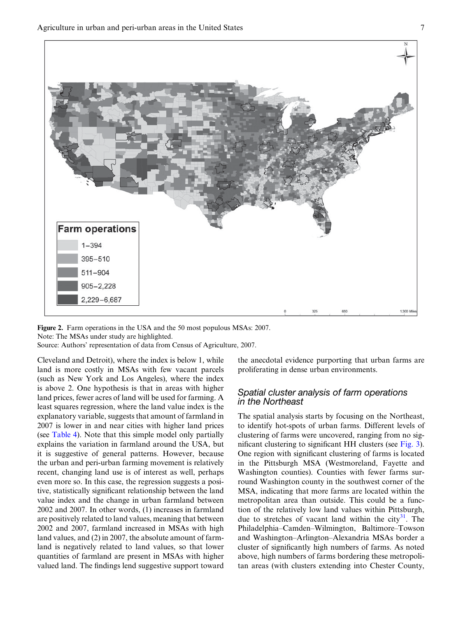<span id="page-6-0"></span>

Figure 2. Farm operations in the USA and the 50 most populous MSAs: 2007. Note: The MSAs under study are highlighted.

Source: Authors' representation of data from Census of Agriculture, 2007.

Cleveland and Detroit), where the index is below 1, while land is more costly in MSAs with few vacant parcels (such as New York and Los Angeles), where the index is above 2. One hypothesis is that in areas with higher land prices, fewer acres of land will be used for farming. A least squares regression, where the land value index is the explanatory variable, suggests that amount of farmland in 2007 is lower in and near cities with higher land prices (see [Table 4](#page-8-0)). Note that this simple model only partially explains the variation in farmland around the USA, but it is suggestive of general patterns. However, because the urban and peri-urban farming movement is relatively recent, changing land use is of interest as well, perhaps even more so. In this case, the regression suggests a positive, statistically significant relationship between the land value index and the change in urban farmland between 2002 and 2007. In other words, (1) increases in farmland are positively related to land values, meaning that between 2002 and 2007, farmland increased in MSAs with high land values, and (2) in 2007, the absolute amount of farmland is negatively related to land values, so that lower quantities of farmland are present in MSAs with higher valued land. The findings lend suggestive support toward

the anecdotal evidence purporting that urban farms are proliferating in dense urban environments.

# Spatial cluster analysis of farm operations in the Northeast

The spatial analysis starts by focusing on the Northeast, to identify hot-spots of urban farms. Different levels of clustering of farms were uncovered, ranging from no significant clustering to significant HH clusters (see [Fig. 3\)](#page-8-0). One region with significant clustering of farms is located in the Pittsburgh MSA (Westmoreland, Fayette and Washington counties). Counties with fewer farms surround Washington county in the southwest corner of the MSA, indicating that more farms are located within the metropolitan area than outside. This could be a function of the relatively low land values within Pittsburgh, due to stretches of vacant land within the city $31$ . The Philadelphia–Camden–Wilmington, Baltimore–Towson and Washington–Arlington–Alexandria MSAs border a cluster of significantly high numbers of farms. As noted above, high numbers of farms bordering these metropolitan areas (with clusters extending into Chester County,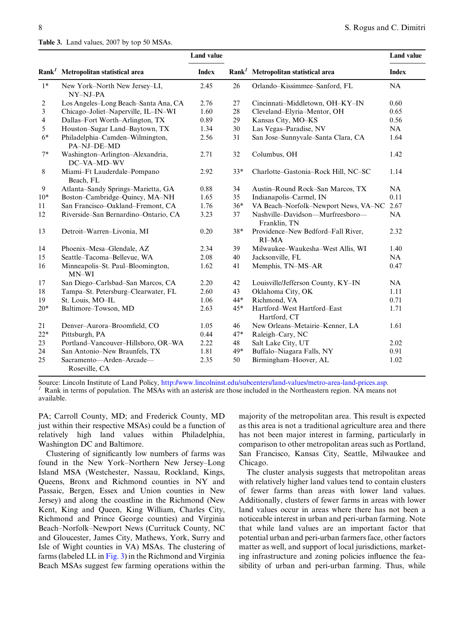|                         |                                                 | Land value   |       |                                                  | Land value<br><b>Index</b> |  |
|-------------------------|-------------------------------------------------|--------------|-------|--------------------------------------------------|----------------------------|--|
|                         | Rank <sup>1</sup> Metropolitan statistical area | <b>Index</b> |       | Rank <sup>1</sup> Metropolitan statistical area  |                            |  |
| $1^*$                   | New York-North New Jersey-LI,<br>$NY-NJ-PA$     | 2.45         | 26    | Orlando-Kissimmee-Sanford, FL                    | NA                         |  |
| $\overline{\mathbf{c}}$ | Los Angeles-Long Beach-Santa Ana, CA            | 2.76         | 27    | Cincinnati-Middletown, OH-KY-IN                  | 0.60                       |  |
| 3                       | Chicago-Joliet-Naperville, IL-IN-WI             | 1.60         | 28    | Cleveland-Elyria-Mentor, OH                      | 0.65                       |  |
| 4                       | Dallas-Fort Worth-Arlington, TX                 | 0.89         | 29    | Kansas City, MO-KS                               | 0.56                       |  |
| 5                       | Houston-Sugar Land-Baytown, TX                  | 1.34         | 30    | Las Vegas-Paradise, NV                           | NA                         |  |
| $6*$                    | Philadelphia-Camden-Wilmington,<br>PA-NJ-DE-MD  | 2.56         | 31    | San Jose-Sunnyvale-Santa Clara, CA               | 1.64                       |  |
| $7*$                    | Washington-Arlington-Alexandria,<br>DC-VA-MD-WV | 2.71         | 32    | Columbus, OH                                     | 1.42                       |  |
| $\,8\,$                 | Miami-Ft Lauderdale-Pompano<br>Beach, FL        | 2.92         | $33*$ | Charlotte-Gastonia-Rock Hill, NC-SC              | 1.14                       |  |
| 9                       | Atlanta-Sandy Springs-Marietta, GA              | 0.88         | 34    | Austin-Round Rock-San Marcos, TX                 | NA                         |  |
| $10*$                   | Boston-Cambridge-Quincy, MA-NH                  | 1.65         | 35    | Indianapolis-Carmel, IN                          | 0.11                       |  |
| 11                      | San Francisco-Oakland-Fremont, CA               | 1.76         | $36*$ | VA Beach-Norfolk-Newport News, VA-NC             | 2.67                       |  |
| 12                      | Riverside-San Bernardino-Ontario, CA            | 3.23         | 37    | Nashville-Davidson-Murfreesboro-<br>Franklin, TN | NA                         |  |
| 13                      | Detroit-Warren-Livonia, MI                      | 0.20         | 38*   | Providence-New Bedford-Fall River,<br>$RI-MA$    | 2.32                       |  |
| 14                      | Phoenix-Mesa-Glendale, AZ                       | 2.34         | 39    | Milwaukee-Waukesha-West Allis, WI                | 1.40                       |  |
| 15                      | Seattle-Tacoma-Bellevue, WA                     | 2.08         | 40    | Jacksonville, FL                                 | NA                         |  |
| 16                      | Minneapolis-St. Paul-Bloomington,<br>MN-WI      | 1.62         | 41    | Memphis, TN-MS-AR                                | 0.47                       |  |
| 17                      | San Diego-Carlsbad-San Marcos, CA               | 2.20         | 42    | Louisville/Jefferson County, KY-IN               | NA                         |  |
| 18                      | Tampa-St. Petersburg-Clearwater, FL             | 2.60         | 43    | Oklahoma City, OK                                | 1.11                       |  |
| 19                      | St. Louis, MO-IL                                | 1.06         | 44*   | Richmond, VA                                     | 0.71                       |  |
| $20*$                   | Baltimore-Towson, MD                            | 2.63         | 45*   | Hartford-West Hartford-East<br>Hartford, CT      | 1.71                       |  |
| 21                      | Denver-Aurora-Broomfield, CO                    | 1.05         | 46    | New Orleans-Metairie-Kenner, LA                  | 1.61                       |  |
| $22*$                   | Pittsburgh, PA                                  | 0.44         | $47*$ | Raleigh-Cary, NC                                 |                            |  |
| 23                      | Portland-Vancouver-Hillsboro, OR-WA             | 2.22         | 48    | Salt Lake City, UT                               | 2.02                       |  |
| 24                      | San Antonio-New Braunfels, TX                   | 1.81         | 49*   | Buffalo-Niagara Falls, NY                        | 0.91                       |  |
| 25                      | Sacramento-Arden-Arcade-<br>Roseville, CA       | 2.35         | 50    | Birmingham-Hoover, AL                            | 1.02                       |  |

<span id="page-7-0"></span>Table 3. Land values, 2007 by top 50 MSAs.

Source: Lincoln Institute of Land Policy, <http://www.lincolninst.edu/subcenters/land-values/metro-area-land-prices.asp>.<br><sup>7</sup> Rank in terms of population. The MSAs with an asterisk are those included in the Northeastern regi available.

PA; Carroll County, MD; and Frederick County, MD just within their respective MSAs) could be a function of relatively high land values within Philadelphia, Washington DC and Baltimore.

Clustering of significantly low numbers of farms was found in the New York–Northern New Jersey–Long Island MSA (Westchester, Nassau, Rockland, Kings, Queens, Bronx and Richmond counties in NY and Passaic, Bergen, Essex and Union counties in New Jersey) and along the coastline in the Richmond (New Kent, King and Queen, King William, Charles City, Richmond and Prince George counties) and Virginia Beach–Norfolk–Newport News (Currituck County, NC and Gloucester, James City, Mathews, York, Surry and Isle of Wight counties in VA) MSAs. The clustering of farms (labeled LL in Fig.  $3$ ) in the Richmond and Virginia Beach MSAs suggest few farming operations within the majority of the metropolitan area. This result is expected as this area is not a traditional agriculture area and there has not been major interest in farming, particularly in comparison to other metropolitan areas such as Portland, San Francisco, Kansas City, Seattle, Milwaukee and Chicago.

The cluster analysis suggests that metropolitan areas with relatively higher land values tend to contain clusters of fewer farms than areas with lower land values. Additionally, clusters of fewer farms in areas with lower land values occur in areas where there has not been a noticeable interest in urban and peri-urban farming. Note that while land values are an important factor that potential urban and peri-urban farmers face, other factors matter as well, and support of local jurisdictions, marketing infrastructure and zoning policies influence the feasibility of urban and peri-urban farming. Thus, while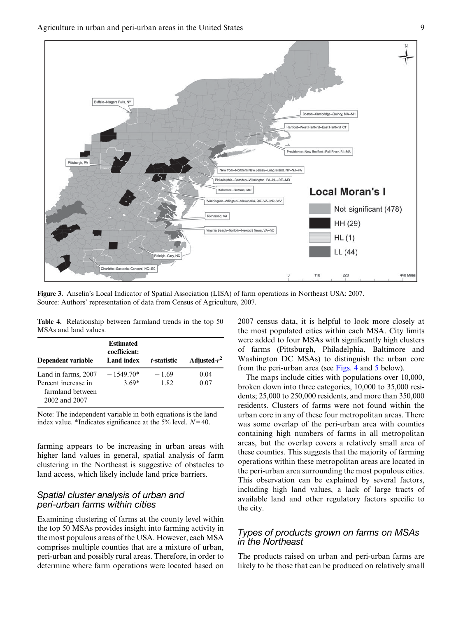

<span id="page-8-0"></span>

Figure 3. Anselin's Local Indicator of Spatial Association (LISA) of farm operations in Northeast USA: 2007. Source: Authors' representation of data from Census of Agriculture, 2007.

Table 4. Relationship between farmland trends in the top 50 MSAs and land values.

| Dependent variable                                                              | <b>Estimated</b><br>coefficient:<br>Land index | <i>t</i> -statistic | Adjusted- $r^2$ |
|---------------------------------------------------------------------------------|------------------------------------------------|---------------------|-----------------|
| Land in farms, 2007<br>Percent increase in<br>farmland between<br>2002 and 2007 | $-1549.70*$<br>$3.69*$                         | $-1.69$<br>1.82     | 0.04<br>0.07    |

Note: The independent variable in both equations is the land index value. \*Indicates significance at the  $5\%$  level.  $N=40$ .

farming appears to be increasing in urban areas with higher land values in general, spatial analysis of farm clustering in the Northeast is suggestive of obstacles to land access, which likely include land price barriers.

# Spatial cluster analysis of urban and peri-urban farms within cities

Examining clustering of farms at the county level within the top 50 MSAs provides insight into farming activity in the most populous areas of the USA. However, each MSA comprises multiple counties that are a mixture of urban, peri-urban and possibly rural areas. Therefore, in order to determine where farm operations were located based on

2007 census data, it is helpful to look more closely at the most populated cities within each MSA. City limits were added to four MSAs with significantly high clusters of farms (Pittsburgh, Philadelphia, Baltimore and Washington DC MSAs) to distinguish the urban core from the peri-urban area (see [Figs. 4](#page-9-0) and [5](#page-10-0) below).

The maps include cities with populations over 10,000, broken down into three categories, 10,000 to 35,000 residents; 25,000 to 250,000 residents, and more than 350,000 residents. Clusters of farms were not found within the urban core in any of these four metropolitan areas. There was some overlap of the peri-urban area with counties containing high numbers of farms in all metropolitan areas, but the overlap covers a relatively small area of these counties. This suggests that the majority of farming operations within these metropolitan areas are located in the peri-urban area surrounding the most populous cities. This observation can be explained by several factors, including high land values, a lack of large tracts of available land and other regulatory factors specific to the city.

# Types of products grown on farms on MSAs in the Northeast

The products raised on urban and peri-urban farms are likely to be those that can be produced on relatively small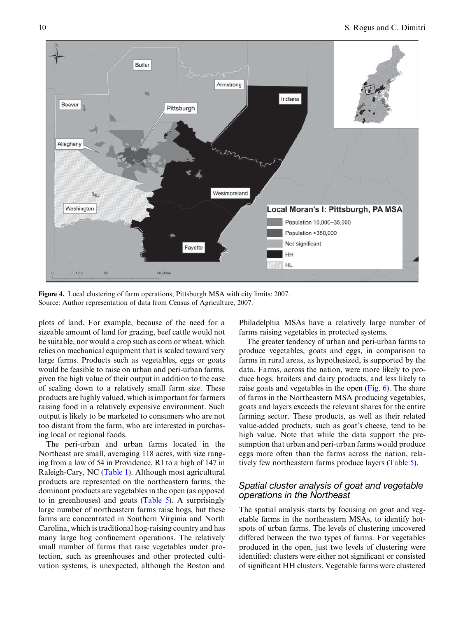<span id="page-9-0"></span>

Figure 4. Local clustering of farm operations, Pittsburgh MSA with city limits: 2007. Source: Author representation of data from Census of Agriculture, 2007.

plots of land. For example, because of the need for a sizeable amount of land for grazing, beef cattle would not be suitable, nor would a crop such as corn or wheat, which relies on mechanical equipment that is scaled toward very large farms. Products such as vegetables, eggs or goats would be feasible to raise on urban and peri-urban farms, given the high value of their output in addition to the ease of scaling down to a relatively small farm size. These products are highly valued, which is important for farmers raising food in a relatively expensive environment. Such output is likely to be marketed to consumers who are not too distant from the farm, who are interested in purchasing local or regional foods.

The peri-urban and urban farms located in the Northeast are small, averaging 118 acres, with size ranging from a low of 54 in Providence, RI to a high of 147 in Raleigh-Cary, NC [\(Table 1](#page-3-0)). Although most agricultural products are represented on the northeastern farms, the dominant products are vegetables in the open (as opposed to in greenhouses) and goats ([Table 5](#page-11-0)). A surprisingly large number of northeastern farms raise hogs, but these farms are concentrated in Southern Virginia and North Carolina, which is traditional hog-raising country and has many large hog confinement operations. The relatively small number of farms that raise vegetables under protection, such as greenhouses and other protected cultivation systems, is unexpected, although the Boston and Philadelphia MSAs have a relatively large number of farms raising vegetables in protected systems.

The greater tendency of urban and peri-urban farms to produce vegetables, goats and eggs, in comparison to farms in rural areas, as hypothesized, is supported by the data. Farms, across the nation, were more likely to produce hogs, broilers and dairy products, and less likely to raise goats and vegetables in the open [\(Fig. 6](#page-11-0)). The share of farms in the Northeastern MSA producing vegetables, goats and layers exceeds the relevant shares for the entire farming sector. These products, as well as their related value-added products, such as goat's cheese, tend to be high value. Note that while the data support the presumption that urban and peri-urban farms would produce eggs more often than the farms across the nation, relatively few northeastern farms produce layers ([Table 5](#page-11-0)).

# Spatial cluster analysis of goat and vegetable operations in the Northeast

The spatial analysis starts by focusing on goat and vegetable farms in the northeastern MSAs, to identify hotspots of urban farms. The levels of clustering uncovered differed between the two types of farms. For vegetables produced in the open, just two levels of clustering were identified: clusters were either not significant or consisted of significant HH clusters. Vegetable farms were clustered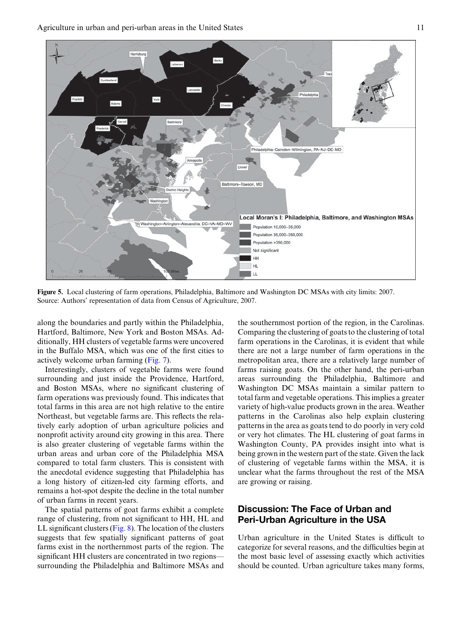<span id="page-10-0"></span>

Figure 5. Local clustering of farm operations, Philadelphia, Baltimore and Washington DC MSAs with city limits: 2007. Source: Authors' representation of data from Census of Agriculture, 2007.

along the boundaries and partly within the Philadelphia, Hartford, Baltimore, New York and Boston MSAs. Additionally, HH clusters of vegetable farms were uncovered in the Buffalo MSA, which was one of the first cities to actively welcome urban farming ([Fig. 7](#page-12-0)).

Interestingly, clusters of vegetable farms were found surrounding and just inside the Providence, Hartford, and Boston MSAs, where no significant clustering of farm operations was previously found. This indicates that total farms in this area are not high relative to the entire Northeast, but vegetable farms are. This reflects the relatively early adoption of urban agriculture policies and nonprofit activity around city growing in this area. There is also greater clustering of vegetable farms within the urban areas and urban core of the Philadelphia MSA compared to total farm clusters. This is consistent with the anecdotal evidence suggesting that Philadelphia has a long history of citizen-led city farming efforts, and remains a hot-spot despite the decline in the total number of urban farms in recent years.

The spatial patterns of goat farms exhibit a complete range of clustering, from not significant to HH, HL and LL significant clusters ([Fig. 8\)](#page-13-0). The location of the clusters suggests that few spatially significant patterns of goat farms exist in the northernmost parts of the region. The significant HH clusters are concentrated in two regions surrounding the Philadelphia and Baltimore MSAs and

the southernmost portion of the region, in the Carolinas. Comparing the clustering of goats to the clustering of total farm operations in the Carolinas, it is evident that while there are not a large number of farm operations in the metropolitan area, there are a relatively large number of farms raising goats. On the other hand, the peri-urban areas surrounding the Philadelphia, Baltimore and Washington DC MSAs maintain a similar pattern to total farm and vegetable operations. This implies a greater variety of high-value products grown in the area. Weather patterns in the Carolinas also help explain clustering patterns in the area as goats tend to do poorly in very cold or very hot climates. The HL clustering of goat farms in Washington County, PA provides insight into what is being grown in the western part of the state. Given the lack of clustering of vegetable farms within the MSA, it is unclear what the farms throughout the rest of the MSA are growing or raising.

# Discussion: The Face of Urban and Peri-Urban Agriculture in the USA

Urban agriculture in the United States is difficult to categorize for several reasons, and the difficulties begin at the most basic level of assessing exactly which activities should be counted. Urban agriculture takes many forms,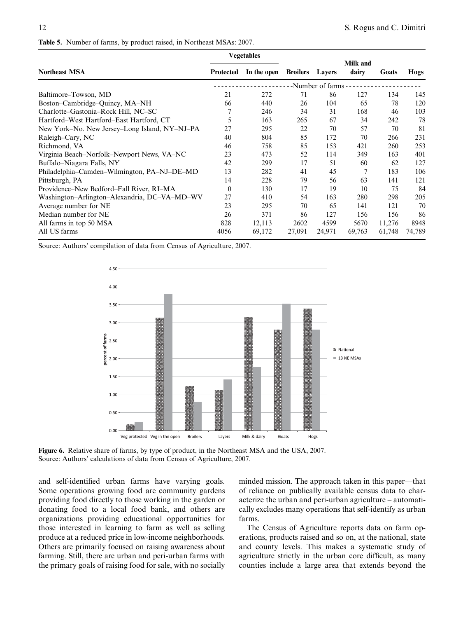|                                               |                  | <b>Vegetables</b> |                 |                    |                   |        | Hogs   |
|-----------------------------------------------|------------------|-------------------|-----------------|--------------------|-------------------|--------|--------|
| <b>Northeast MSA</b>                          | <b>Protected</b> | In the open       | <b>Broilers</b> | Layers             | Milk and<br>dairy | Goats  |        |
|                                               |                  |                   |                 | -Number of farms - |                   |        |        |
| Baltimore–Towson, MD                          | 21               | 272               | 71              | 86                 | 127               | 134    | 145    |
| Boston-Cambridge-Quincy, MA-NH                | 66               | 440               | 26              | 104                | 65                | 78     | 120    |
| Charlotte-Gastonia-Rock Hill, NC-SC           |                  | 246               | 34              | 31                 | 168               | 46     | 103    |
| Hartford–West Hartford–East Hartford, CT      | 5                | 163               | 265             | 67                 | 34                | 242    | 78     |
| New York–No. New Jersey–Long Island, NY–NJ–PA | 27               | 295               | 22              | 70                 | 57                | 70     | 81     |
| Raleigh-Cary, NC                              | 40               | 804               | 85              | 172                | 70                | 266    | 231    |
| Richmond, VA                                  | 46               | 758               | 85              | 153                | 421               | 260    | 253    |
| Virginia Beach-Norfolk-Newport News, VA-NC    | 23               | 473               | 52              | 114                | 349               | 163    | 401    |
| Buffalo-Niagara Falls, NY                     | 42               | 299               | 17              | 51                 | 60                | 62     | 127    |
| Philadelphia–Camden–Wilmington, PA–NJ–DE–MD   | 13               | 282               | 41              | 45                 | 7                 | 183    | 106    |
| Pittsburgh, PA                                | 14               | 228               | 79              | 56                 | 63                | 141    | 121    |
| Providence–New Bedford–Fall River, RI–MA      | $\theta$         | 130               | 17              | 19                 | 10                | 75     | 84     |
| Washington-Arlington-Alexandria, DC-VA-MD-WV  | 27               | 410               | 54              | 163                | 280               | 298    | 205    |
| Average number for NE                         | 23               | 295               | 70              | 65                 | 141               | 121    | 70     |
| Median number for NE                          | 26               | 371               | 86              | 127                | 156               | 156    | 86     |
| All farms in top 50 MSA                       | 828              | 12,113            | 2602            | 4599               | 5670              | 11,276 | 8948   |
| All US farms                                  | 4056             | 69,172            | 27,091          | 24,971             | 69,763            | 61,748 | 74,789 |

<span id="page-11-0"></span>Table 5. Number of farms, by product raised, in Northeast MSAs: 2007.

Source: Authors' compilation of data from Census of Agriculture, 2007.



Figure 6. Relative share of farms, by type of product, in the Northeast MSA and the USA, 2007. Source: Authors' calculations of data from Census of Agriculture, 2007.

and self-identified urban farms have varying goals. Some operations growing food are community gardens providing food directly to those working in the garden or donating food to a local food bank, and others are organizations providing educational opportunities for those interested in learning to farm as well as selling produce at a reduced price in low-income neighborhoods. Others are primarily focused on raising awareness about farming. Still, there are urban and peri-urban farms with the primary goals of raising food for sale, with no socially

minded mission. The approach taken in this paper—that of reliance on publically available census data to characterize the urban and peri-urban agriculture – automatically excludes many operations that self-identify as urban farms.

The Census of Agriculture reports data on farm operations, products raised and so on, at the national, state and county levels. This makes a systematic study of agriculture strictly in the urban core difficult, as many counties include a large area that extends beyond the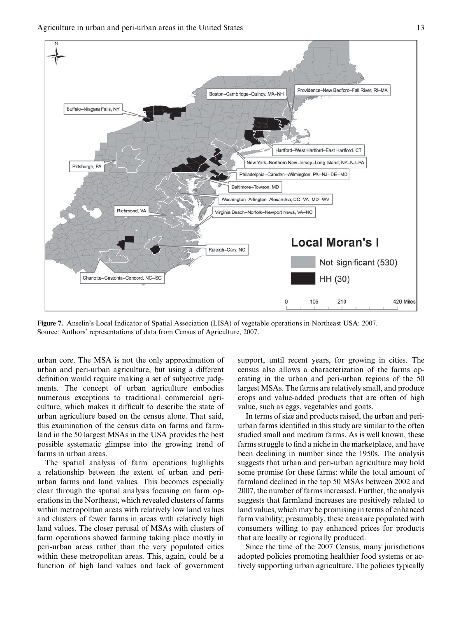<span id="page-12-0"></span>

Figure 7. Anselin's Local Indicator of Spatial Association (LISA) of vegetable operations in Northeast USA: 2007. Source: Authors' representations of data from Census of Agriculture, 2007.

urban core. The MSA is not the only approximation of urban and peri-urban agriculture, but using a different definition would require making a set of subjective judgments. The concept of urban agriculture embodies numerous exceptions to traditional commercial agriculture, which makes it difficult to describe the state of urban agriculture based on the census alone. That said, this examination of the census data on farms and farmland in the 50 largest MSAs in the USA provides the best possible systematic glimpse into the growing trend of farms in urban areas.

The spatial analysis of farm operations highlights a relationship between the extent of urban and periurban farms and land values. This becomes especially clear through the spatial analysis focusing on farm operations in the Northeast, which revealed clusters of farms within metropolitan areas with relatively low land values and clusters of fewer farms in areas with relatively high land values. The closer perusal of MSAs with clusters of farm operations showed farming taking place mostly in peri-urban areas rather than the very populated cities within these metropolitan areas. This, again, could be a function of high land values and lack of government

support, until recent years, for growing in cities. The census also allows a characterization of the farms operating in the urban and peri-urban regions of the 50 largest MSAs. The farms are relatively small, and produce crops and value-added products that are often of high value, such as eggs, vegetables and goats.

In terms of size and products raised, the urban and periurban farms identified in this study are similar to the often studied small and medium farms. As is well known, these farms struggle to find a niche in the marketplace, and have been declining in number since the 1950s. The analysis suggests that urban and peri-urban agriculture may hold some promise for these farms: while the total amount of farmland declined in the top 50 MSAs between 2002 and 2007, the number of farms increased. Further, the analysis suggests that farmland increases are positively related to land values, which may be promising in terms of enhanced farm viability; presumably, these areas are populated with consumers willing to pay enhanced prices for products that are locally or regionally produced.

Since the time of the 2007 Census, many jurisdictions adopted policies promoting healthier food systems or actively supporting urban agriculture. The policies typically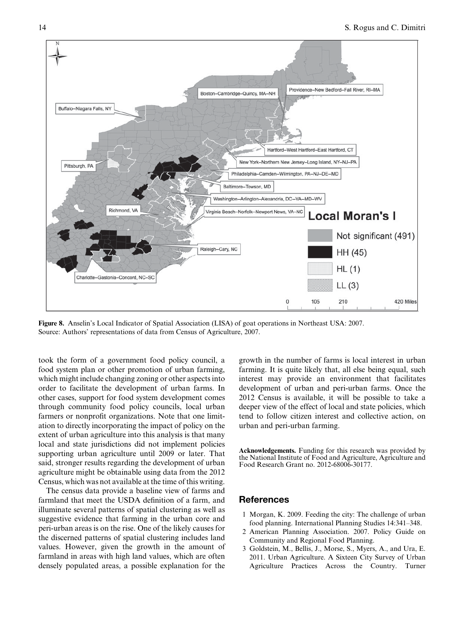<span id="page-13-0"></span>

Figure 8. Anselin's Local Indicator of Spatial Association (LISA) of goat operations in Northeast USA: 2007. Source: Authors' representations of data from Census of Agriculture, 2007.

took the form of a government food policy council, a food system plan or other promotion of urban farming, which might include changing zoning or other aspects into order to facilitate the development of urban farms. In other cases, support for food system development comes through community food policy councils, local urban farmers or nonprofit organizations. Note that one limitation to directly incorporating the impact of policy on the extent of urban agriculture into this analysis is that many local and state jurisdictions did not implement policies supporting urban agriculture until 2009 or later. That said, stronger results regarding the development of urban agriculture might be obtainable using data from the 2012 Census, which was not available at the time of this writing.

The census data provide a baseline view of farms and farmland that meet the USDA definition of a farm, and illuminate several patterns of spatial clustering as well as suggestive evidence that farming in the urban core and peri-urban areas is on the rise. One of the likely causes for the discerned patterns of spatial clustering includes land values. However, given the growth in the amount of farmland in areas with high land values, which are often densely populated areas, a possible explanation for the

growth in the number of farms is local interest in urban farming. It is quite likely that, all else being equal, such interest may provide an environment that facilitates development of urban and peri-urban farms. Once the 2012 Census is available, it will be possible to take a deeper view of the effect of local and state policies, which tend to follow citizen interest and collective action, on urban and peri-urban farming.

Acknowledgements. Funding for this research was provided by the National Institute of Food and Agriculture, Agriculture and Food Research Grant no. 2012-68006-30177.

# **References**

- 1 Morgan, K. 2009. Feeding the city: The challenge of urban food planning. International Planning Studies 14:341–348.
- 2 American Planning Association. 2007. Policy Guide on Community and Regional Food Planning.
- 3 Goldstein, M., Bellis, J., Morse, S., Myers, A., and Ura, E. 2011. Urban Agriculture. A Sixteen City Survey of Urban Agriculture Practices Across the Country. Turner